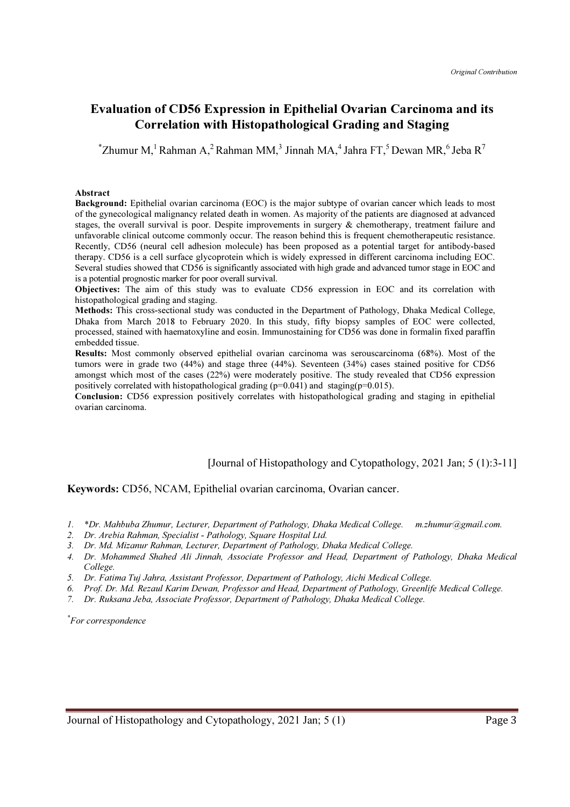# Evaluation of CD56 Expression in Epithelial Ovarian Carcinoma and its Correlation with Histopathological Grading and Staging

 $*$ Zhumur M,<sup>1</sup> Rahman A,<sup>2</sup> Rahman MM,<sup>3</sup> Jinnah MA,<sup>4</sup> Jahra FT,<sup>5</sup> Dewan MR,<sup>6</sup> Jeba R<sup>7</sup>

#### Abstract

Background: Epithelial ovarian carcinoma (EOC) is the major subtype of ovarian cancer which leads to most of the gynecological malignancy related death in women. As majority of the patients are diagnosed at advanced stages, the overall survival is poor. Despite improvements in surgery  $\&$  chemotherapy, treatment failure and unfavorable clinical outcome commonly occur. The reason behind this is frequent chemotherapeutic resistance. Recently, CD56 (neural cell adhesion molecule) has been proposed as a potential target for antibody-based therapy. CD56 is a cell surface glycoprotein which is widely expressed in different carcinoma including EOC. Several studies showed that CD56 is significantly associated with high grade and advanced tumor stage in EOC and is a potential prognostic marker for poor overall survival.

Objectives: The aim of this study was to evaluate CD56 expression in EOC and its correlation with histopathological grading and staging.

Methods: This cross-sectional study was conducted in the Department of Pathology, Dhaka Medical College, Dhaka from March 2018 to February 2020. In this study, fifty biopsy samples of EOC were collected, processed, stained with haematoxyline and eosin. Immunostaining for CD56 was done in formalin fixed paraffin embedded tissue.

Results: Most commonly observed epithelial ovarian carcinoma was serouscarcinoma (68%). Most of the tumors were in grade two (44%) and stage three (44%). Seventeen (34%) cases stained positive for CD56 amongst which most of the cases (22%) were moderately positive. The study revealed that CD56 expression positively correlated with histopathological grading ( $p=0.041$ ) and staging( $p=0.015$ ).

Conclusion: CD56 expression positively correlates with histopathological grading and staging in epithelial ovarian carcinoma.

### [Journal of Histopathology and Cytopathology, 2021 Jan; 5 (1):3-11]

Keywords: CD56, NCAM, Epithelial ovarian carcinoma, Ovarian cancer.

- 1. \* Dr. Mahbuba Zhumur, Lecturer, Department of Pathology, Dhaka Medical College. m.zhumur@gmail.com.
- 2. Dr. Arebia Rahman, Specialist Pathology, Square Hospital Ltd.
- 3. Dr. Md. Mizanur Rahman, Lecturer, Department of Pathology, Dhaka Medical College.
- 4. Dr. Mohammed Shahed Ali Jinnah, Associate Professor and Head, Department of Pathology, Dhaka Medical College.
- 5. Dr. Fatima Tuj Jahra, Assistant Professor, Department of Pathology, Aichi Medical College.
- 6. Prof. Dr. Md. Rezaul Karim Dewan, Professor and Head, Department of Pathology, Greenlife Medical College.
- 7. Dr. Ruksana Jeba, Associate Professor, Department of Pathology, Dhaka Medical College.

\* For correspondence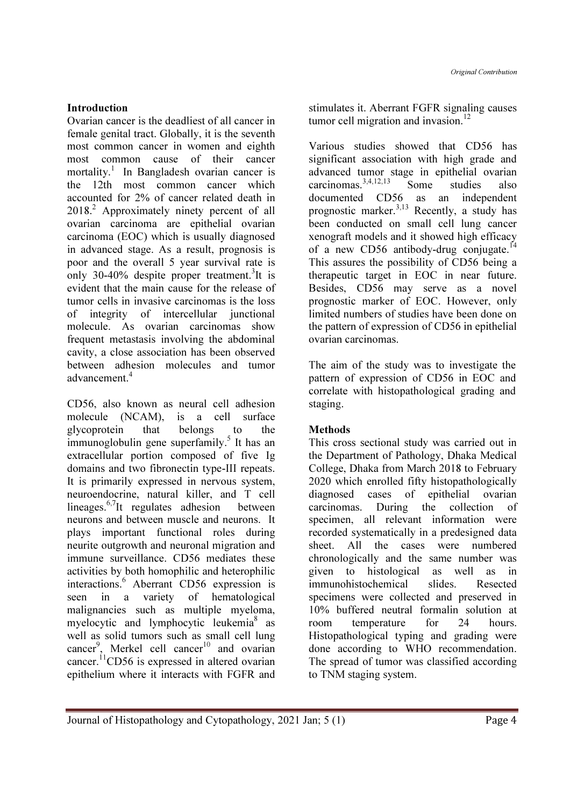### Introduction

Ovarian cancer is the deadliest of all cancer in female genital tract. Globally, it is the seventh most common cancer in women and eighth most common cause of their cancer mortality.<sup>1</sup> In Bangladesh ovarian cancer is the 12th most common cancer which accounted for 2% of cancer related death in 2018.<sup>2</sup> Approximately ninety percent of all ovarian carcinoma are epithelial ovarian carcinoma (EOC) which is usually diagnosed in advanced stage. As a result, prognosis is poor and the overall 5 year survival rate is only 30-40% despite proper treatment.<sup>3</sup>It is evident that the main cause for the release of tumor cells in invasive carcinomas is the loss of integrity of intercellular junctional molecule. As ovarian carcinomas show frequent metastasis involving the abdominal cavity, a close association has been observed between adhesion molecules and tumor advancement.<sup>4</sup>

CD56, also known as neural cell adhesion molecule (NCAM), is a cell surface glycoprotein that belongs to the immunoglobulin gene superfamily.<sup>5</sup> It has an extracellular portion composed of five Ig domains and two fibronectin type-III repeats. It is primarily expressed in nervous system, neuroendocrine, natural killer, and T cell lineages.<sup>6,7</sup>It regulates adhesion between neurons and between muscle and neurons. It plays important functional roles during neurite outgrowth and neuronal migration and immune surveillance. CD56 mediates these activities by both homophilic and heterophilic interactions.<sup>6</sup> Aberrant CD56 expression is seen in a variety of hematological malignancies such as multiple myeloma, myelocytic and lymphocytic leukemia<sup>8</sup> as well as solid tumors such as small cell lung cancer<sup>9</sup>, Merkel cell cancer<sup>10</sup> and ovarian cancer.<sup>11</sup>CD56 is expressed in altered ovarian epithelium where it interacts with FGFR and

stimulates it. Aberrant FGFR signaling causes tumor cell migration and invasion. $^{12}$ 

Various studies showed that CD56 has significant association with high grade and advanced tumor stage in epithelial ovarian carcinomas.<sup>3,4,12,13</sup> Some studies also carcinomas.3,4,12,13 Some studies also documented CD56 as an independent prognostic marker.<sup>3,13</sup> Recently, a study has been conducted on small cell lung cancer xenograft models and it showed high efficacy of a new CD56 antibody-drug conjugate.<sup>14</sup> This assures the possibility of CD56 being a therapeutic target in EOC in near future. Besides, CD56 may serve as a novel prognostic marker of EOC. However, only limited numbers of studies have been done on the pattern of expression of CD56 in epithelial ovarian carcinomas.

The aim of the study was to investigate the pattern of expression of CD56 in EOC and correlate with histopathological grading and staging.

# Methods

This cross sectional study was carried out in the Department of Pathology, Dhaka Medical College, Dhaka from March 2018 to February 2020 which enrolled fifty histopathologically diagnosed cases of epithelial ovarian carcinomas. During the collection of specimen, all relevant information were recorded systematically in a predesigned data sheet. All the cases were numbered chronologically and the same number was given to histological as well as in immunohistochemical slides. Resected specimens were collected and preserved in 10% buffered neutral formalin solution at room temperature for 24 hours. Histopathological typing and grading were done according to WHO recommendation. The spread of tumor was classified according to TNM staging system.

Journal of Histopathology and Cytopathology, 2021 Jan; 5 (1) Page 4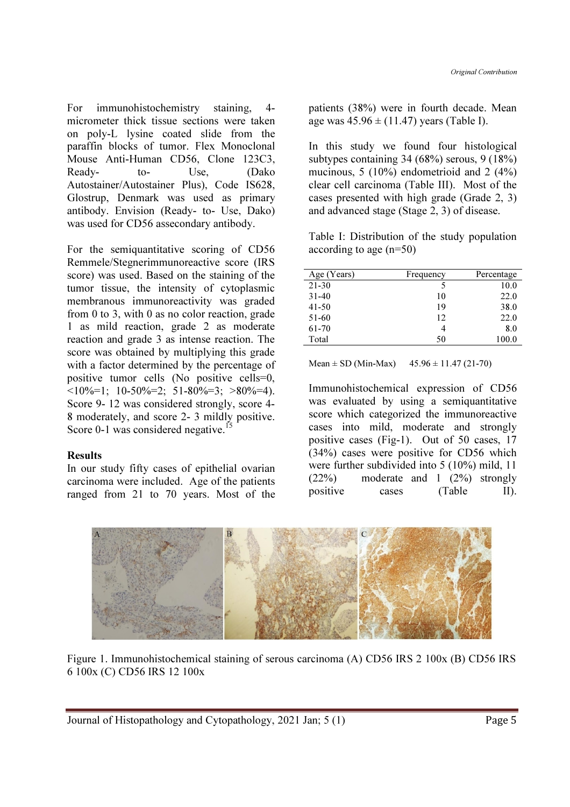For immunohistochemistry staining, 4 micrometer thick tissue sections were taken on poly-L lysine coated slide from the paraffin blocks of tumor. Flex Monoclonal Mouse Anti-Human CD56, Clone 123C3, Ready- to- Use, (Dako Autostainer/Autostainer Plus), Code IS628, Glostrup, Denmark was used as primary antibody. Envision (Ready- to- Use, Dako) was used for CD56 assecondary antibody.

For the semiquantitative scoring of CD56 Remmele/Stegnerimmunoreactive score (IRS score) was used. Based on the staining of the tumor tissue, the intensity of cytoplasmic membranous immunoreactivity was graded from 0 to 3, with 0 as no color reaction, grade 1 as mild reaction, grade 2 as moderate reaction and grade 3 as intense reaction. The score was obtained by multiplying this grade with a factor determined by the percentage of positive tumor cells (No positive cells=0,  $\leq 10\% = 1$ ; 10-50%=2; 51-80%=3;  $>80\% = 4$ ). Score 9- 12 was considered strongly, score 4- 8 moderately, and score 2- 3 mildly positive. Score 0-1 was considered negative.<sup>15</sup>

### Results

In our study fifty cases of epithelial ovarian carcinoma were included. Age of the patients ranged from 21 to 70 years. Most of the

patients (38%) were in fourth decade. Mean age was  $45.96 \pm (11.47)$  years (Table I).

In this study we found four histological subtypes containing 34 (68%) serous, 9 (18%) mucinous, 5 (10%) endometrioid and 2 (4%) clear cell carcinoma (Table III). Most of the cases presented with high grade (Grade 2, 3) and advanced stage (Stage 2, 3) of disease.

Table I: Distribution of the study population according to age (n=50)

| Age (Years) | Frequency | Percentage |
|-------------|-----------|------------|
| 21-30       |           | 10.0       |
| $31-40$     | 10        | 22.0       |
| $41 - 50$   | 19        | 38.0       |
| 51-60       | 12        | 22.0       |
| 61-70       |           | 8.0        |
| Total       | 50        | 100.0      |

Mean  $\pm$  SD (Min-Max)  $45.96 \pm 11.47$  (21-70)

Immunohistochemical expression of CD56 was evaluated by using a semiquantitative score which categorized the immunoreactive cases into mild, moderate and strongly positive cases (Fig-1). Out of 50 cases, 17 (34%) cases were positive for CD56 which were further subdivided into 5 (10%) mild, 11 (22%) moderate and 1 (2%) strongly positive cases (Table II).



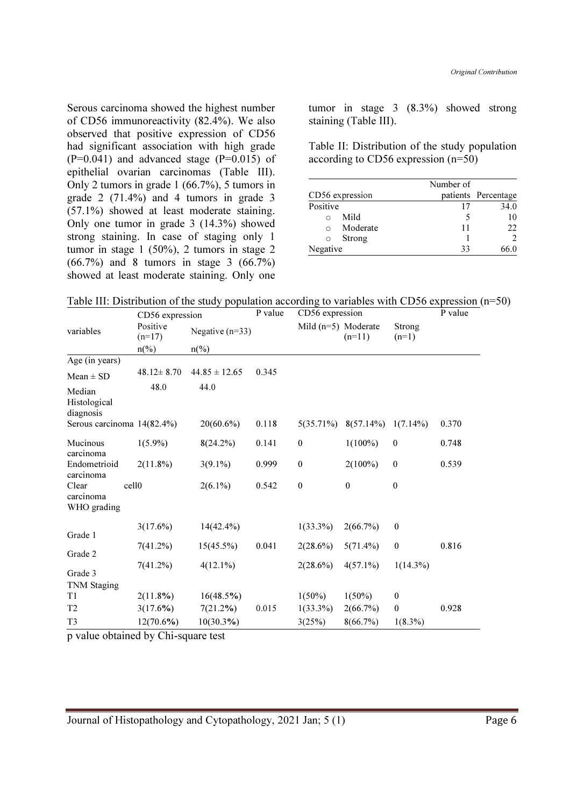Serous carcinoma showed the highest number of CD56 immunoreactivity (82.4%). We also observed that positive expression of CD56 had significant association with high grade  $(P=0.041)$  and advanced stage  $(P=0.015)$  of epithelial ovarian carcinomas (Table III). Only 2 tumors in grade 1 (66.7%), 5 tumors in grade 2 (71.4%) and 4 tumors in grade 3 (57.1%) showed at least moderate staining. Only one tumor in grade 3 (14.3%) showed strong staining. In case of staging only 1 tumor in stage 1 (50%), 2 tumors in stage 2 (66.7%) and 8 tumors in stage 3 (66.7%) showed at least moderate staining. Only one

tumor in stage 3 (8.3%) showed strong staining (Table III).

Table II: Distribution of the study population according to CD56 expression (n=50)

|                 |          | Number of |                     |
|-----------------|----------|-----------|---------------------|
| CD56 expression |          |           | patients Percentage |
| Positive        |          | 17        | 34.0                |
| $\bigcap$       | Mild     |           | 10                  |
| $\bigcap$       | Moderate | 11        | 22                  |
| $\circ$         | Strong   |           |                     |
| Negative        |          | 33        |                     |

Table III: Distribution of the study population according to variables with CD56 expression (n=50)

|                                                        | CD56 expression      |                   | P value | CD56 expression       |              |                   | P value |
|--------------------------------------------------------|----------------------|-------------------|---------|-----------------------|--------------|-------------------|---------|
| variables                                              | Positive<br>$(n=17)$ | Negative $(n=33)$ |         | Mild $(n=5)$ Moderate | $(n=11)$     | Strong<br>$(n=1)$ |         |
|                                                        | $n\frac{\%}{\ }$     | $n\frac{\%}{\%}$  |         |                       |              |                   |         |
| Age (in years)                                         |                      |                   |         |                       |              |                   |         |
| $Mean \pm SD$                                          | $48.12 \pm 8.70$     | $44.85 \pm 12.65$ | 0.345   |                       |              |                   |         |
| Median<br>Histological<br>diagnosis                    | 48.0                 | 44.0              |         |                       |              |                   |         |
| Serous carcinoma 14(82.4%)                             |                      | $20(60.6\%)$      | 0.118   | 5(35.71%)             | $8(57.14\%)$ | $1(7.14\%)$       | 0.370   |
| Mucinous<br>carcinoma                                  | $1(5.9\%)$           | $8(24.2\%)$       | 0.141   | $\boldsymbol{0}$      | $1(100\%)$   | $\mathbf{0}$      | 0.748   |
| Endometrioid<br>carcinoma                              | $2(11.8\%)$          | $3(9.1\%)$        | 0.999   | $\boldsymbol{0}$      | $2(100\%)$   | $\mathbf{0}$      | 0.539   |
| cell <sub>0</sub><br>Clear<br>carcinoma<br>WHO grading |                      | $2(6.1\%)$        | 0.542   | $\boldsymbol{0}$      | $\theta$     | $\mathbf{0}$      |         |
| Grade 1                                                | 3(17.6%)             | $14(42.4\%)$      |         | $1(33.3\%)$           | 2(66.7%)     | $\bf{0}$          |         |
| Grade 2                                                | 7(41.2%)             | 15(45.5%)         | 0.041   | 2(28.6%)              | $5(71.4\%)$  | $\mathbf{0}$      | 0.816   |
| Grade 3                                                | 7(41.2%)             | $4(12.1\%)$       |         | 2(28.6%)              | $4(57.1\%)$  | $1(14.3\%)$       |         |
| TNM Staging                                            |                      |                   |         |                       |              |                   |         |
| T1                                                     | $2(11.8\%)$          | 16(48.5%)         |         | $1(50\%)$             | $1(50\%)$    | $\mathbf{0}$      |         |
| T <sub>2</sub>                                         | 3(17.6%)             | 7(21.2%)          | 0.015   | $1(33.3\%)$           | 2(66.7%)     | $\boldsymbol{0}$  | 0.928   |
| T <sub>3</sub>                                         | 12(70.6%)            | 10(30.3%)         |         | 3(25%)                | 8(66.7%)     | $1(8.3\%)$        |         |

p value obtained by Chi-square test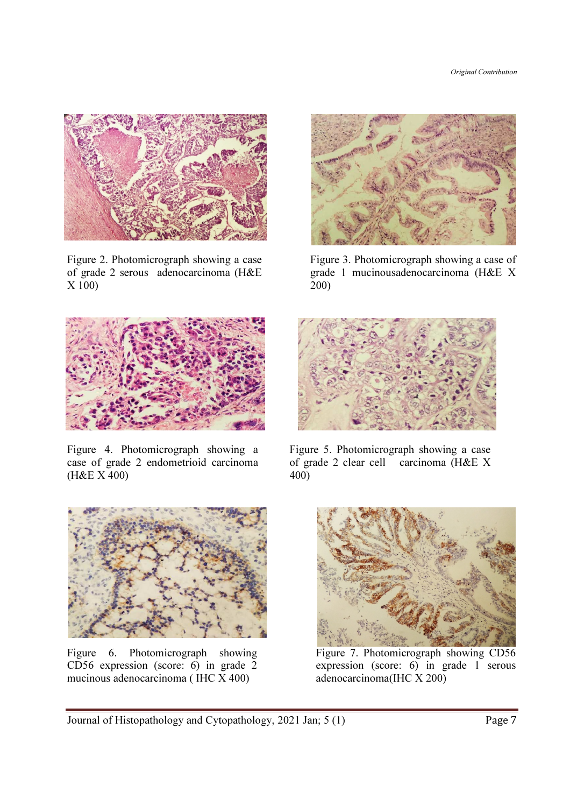

Figure 2. Photomicrograph showing a case of grade 2 serous adenocarcinoma (H&E X 100)



 Figure 3. Photomicrograph showing a case of grade 1 mucinousadenocarcinoma (H&E X 200)



Figure 4. Photomicrograph showing a case of grade 2 endometrioid carcinoma (H&E X 400)



 Figure 5. Photomicrograph showing a case of grade 2 clear cell carcinoma (H&E X 400)



Figure 6. Photomicrograph showing CD56 expression (score: 6) in grade 2 mucinous adenocarcinoma ( IHC X 400)



 Figure 7. Photomicrograph showing CD56 expression (score: 6) in grade 1 serous adenocarcinoma(IHC X 200)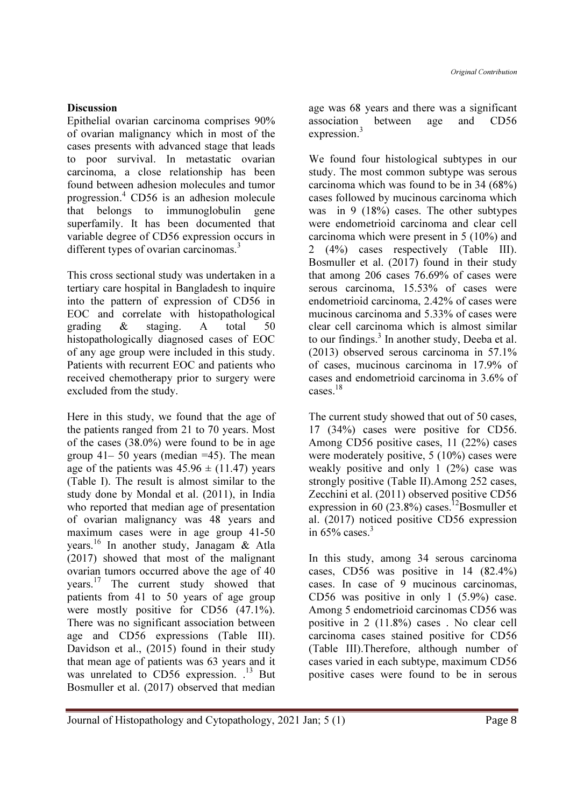#### Discussion

Epithelial ovarian carcinoma comprises 90% of ovarian malignancy which in most of the cases presents with advanced stage that leads to poor survival. In metastatic ovarian carcinoma, a close relationship has been found between adhesion molecules and tumor progression.<sup>4</sup> CD56 is an adhesion molecule that belongs to immunoglobulin gene superfamily. It has been documented that variable degree of CD56 expression occurs in different types of ovarian carcinomas.<sup>3</sup>

This cross sectional study was undertaken in a tertiary care hospital in Bangladesh to inquire into the pattern of expression of CD56 in EOC and correlate with histopathological grading & staging. A total 50 histopathologically diagnosed cases of EOC of any age group were included in this study. Patients with recurrent EOC and patients who received chemotherapy prior to surgery were excluded from the study.

Here in this study, we found that the age of the patients ranged from 21 to 70 years. Most of the cases (38.0%) were found to be in age group  $41-50$  years (median  $=45$ ). The mean age of the patients was  $45.96 \pm (11.47)$  years (Table I). The result is almost similar to the study done by Mondal et al. (2011), in India who reported that median age of presentation of ovarian malignancy was 48 years and maximum cases were in age group 41-50 years.<sup>16</sup> In another study, Janagam & Atla (2017) showed that most of the malignant ovarian tumors occurred above the age of 40 years.<sup>17</sup> The current study showed that patients from 41 to 50 years of age group were mostly positive for CD56 (47.1%). There was no significant association between age and CD56 expressions (Table III). Davidson et al., (2015) found in their study that mean age of patients was 63 years and it was unrelated to CD56 expression.  $^{13}$  But Bosmuller et al. (2017) observed that median

age was 68 years and there was a significant association between age and CD56 expression.<sup>3</sup>

We found four histological subtypes in our study. The most common subtype was serous carcinoma which was found to be in 34 (68%) cases followed by mucinous carcinoma which was in 9 (18%) cases. The other subtypes were endometrioid carcinoma and clear cell carcinoma which were present in 5 (10%) and 2 (4%) cases respectively (Table III). Bosmuller et al. (2017) found in their study that among 206 cases 76.69% of cases were serous carcinoma, 15.53% of cases were endometrioid carcinoma, 2.42% of cases were mucinous carcinoma and 5.33% of cases were clear cell carcinoma which is almost similar to our findings. $3$  In another study, Deeba et al. (2013) observed serous carcinoma in 57.1% of cases, mucinous carcinoma in 17.9% of cases and endometrioid carcinoma in 3.6% of cases. 18

The current study showed that out of 50 cases, 17 (34%) cases were positive for CD56. Among CD56 positive cases, 11 (22%) cases were moderately positive, 5 (10%) cases were weakly positive and only 1 (2%) case was strongly positive (Table II).Among 252 cases, Zecchini et al. (2011) observed positive CD56 expression in 60 (23.8%) cases.<sup>12</sup>Bosmuller et al. (2017) noticed positive CD56 expression in  $65\%$  cases.<sup>3</sup>

In this study, among 34 serous carcinoma cases, CD56 was positive in 14 (82.4%) cases. In case of 9 mucinous carcinomas, CD56 was positive in only 1 (5.9%) case. Among 5 endometrioid carcinomas CD56 was positive in 2 (11.8%) cases . No clear cell carcinoma cases stained positive for CD56 (Table III).Therefore, although number of cases varied in each subtype, maximum CD56 positive cases were found to be in serous

Journal of Histopathology and Cytopathology, 2021 Jan; 5 (1) Page 8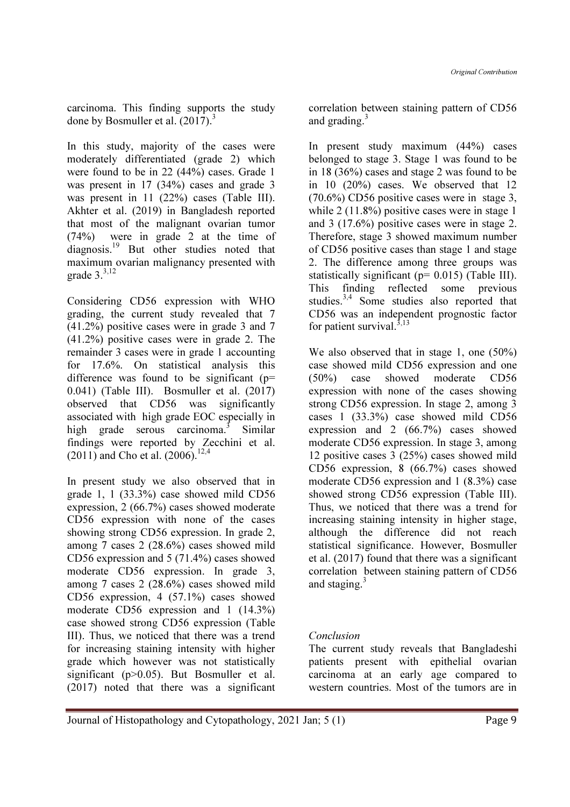carcinoma. This finding supports the study done by Bosmuller et al.  $(2017)$ .<sup>3</sup>

In this study, majority of the cases were moderately differentiated (grade 2) which were found to be in 22 (44%) cases. Grade 1 was present in 17 (34%) cases and grade 3 was present in 11 (22%) cases (Table III). Akhter et al. (2019) in Bangladesh reported that most of the malignant ovarian tumor (74%) were in grade 2 at the time of diagnosis.<sup>19</sup> But other studies noted that maximum ovarian malignancy presented with grade  $3^{3,12}$ 

Considering CD56 expression with WHO grading, the current study revealed that 7 (41.2%) positive cases were in grade 3 and 7 (41.2%) positive cases were in grade 2. The remainder 3 cases were in grade 1 accounting for 17.6%. On statistical analysis this difference was found to be significant  $(p=$ 0.041) (Table III). Bosmuller et al. (2017) observed that CD56 was significantly associated with high grade EOC especially in high grade serous carcinoma.<sup>3</sup> Similar findings were reported by Zecchini et al. (2011) and Cho et al. (2006).<sup>12,4</sup>

In present study we also observed that in grade 1, 1 (33.3%) case showed mild CD56 expression, 2 (66.7%) cases showed moderate CD56 expression with none of the cases showing strong CD56 expression. In grade 2, among 7 cases 2 (28.6%) cases showed mild CD56 expression and 5 (71.4%) cases showed moderate CD56 expression. In grade 3, among 7 cases 2 (28.6%) cases showed mild CD56 expression, 4 (57.1%) cases showed moderate CD56 expression and 1 (14.3%) case showed strong CD56 expression (Table III). Thus, we noticed that there was a trend for increasing staining intensity with higher grade which however was not statistically significant (p>0.05). But Bosmuller et al. (2017) noted that there was a significant

correlation between staining pattern of CD56 and grading.<sup>3</sup>

In present study maximum (44%) cases belonged to stage 3. Stage 1 was found to be in 18 (36%) cases and stage 2 was found to be in 10 (20%) cases. We observed that 12 (70.6%) CD56 positive cases were in stage 3, while 2 (11.8%) positive cases were in stage 1 and 3 (17.6%) positive cases were in stage 2. Therefore, stage 3 showed maximum number of CD56 positive cases than stage 1 and stage 2. The difference among three groups was statistically significant (p= 0.015) (Table III). This finding reflected some previous studies.<sup>3,4</sup> Some studies also reported that CD56 was an independent prognostic factor for patient survival. $3,13$ 

We also observed that in stage 1, one  $(50\%)$ case showed mild CD56 expression and one (50%) case showed moderate CD56 expression with none of the cases showing strong CD56 expression. In stage 2, among 3 cases 1 (33.3%) case showed mild CD56 expression and 2 (66.7%) cases showed moderate CD56 expression. In stage 3, among 12 positive cases 3 (25%) cases showed mild CD56 expression, 8 (66.7%) cases showed moderate CD56 expression and 1 (8.3%) case showed strong CD56 expression (Table III). Thus, we noticed that there was a trend for increasing staining intensity in higher stage, although the difference did not reach statistical significance. However, Bosmuller et al. (2017) found that there was a significant correlation between staining pattern of CD56 and staging. $3$ 

## Conclusion

The current study reveals that Bangladeshi patients present with epithelial ovarian carcinoma at an early age compared to western countries. Most of the tumors are in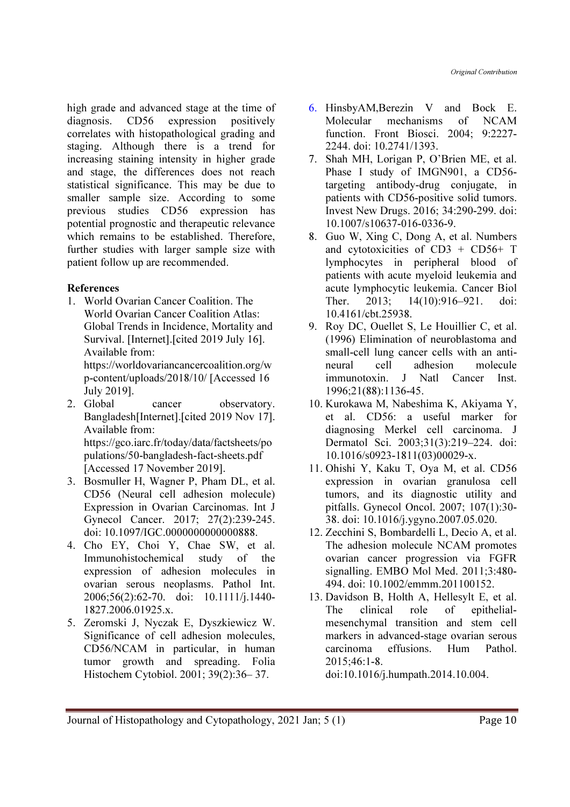high grade and advanced stage at the time of diagnosis. CD56 expression positively correlates with histopathological grading and staging. Although there is a trend for increasing staining intensity in higher grade and stage, the differences does not reach statistical significance. This may be due to smaller sample size. According to some previous studies CD56 expression has potential prognostic and therapeutic relevance which remains to be established. Therefore, further studies with larger sample size with patient follow up are recommended.

## References

- 1. World Ovarian Cancer Coalition. The World Ovarian Cancer Coalition Atlas: Global Trends in Incidence, Mortality and Survival. [Internet].[cited 2019 July 16]. Available from: https://worldovariancancercoalition.org/w p-content/uploads/2018/10/ [Accessed 16 July 2019].
- 2. Global cancer observatory. Bangladesh[Internet].[cited 2019 Nov 17]. Available from: https://gco.iarc.fr/today/data/factsheets/po pulations/50-bangladesh-fact-sheets.pdf [Accessed 17 November 2019].
- 3. Bosmuller H, Wagner P, Pham DL, et al. CD56 (Neural cell adhesion molecule) Expression in Ovarian Carcinomas. Int J Gynecol Cancer. 2017; 27(2):239-245. doi: 10.1097/IGC.0000000000000888.
- 4. Cho EY, Choi Y, Chae SW, et al. Immunohistochemical study of the expression of adhesion molecules in ovarian serous neoplasms. Pathol Int. 2006;56(2):62-70. doi: 10.1111/j.1440- 1827.2006.01925.x.
- 5. Zeromski J, Nyczak E, Dyszkiewicz W. Significance of cell adhesion molecules, CD56/NCAM in particular, in human tumor growth and spreading. Folia Histochem Cytobiol. 2001; 39(2):36– 37.
- 6. HinsbyAM,Berezin V and Bock E. Molecular mechanisms of NCAM function. Front Biosci. 2004; 9:2227- 2244. doi: 10.2741/1393.
- 7. Shah MH, Lorigan P, O'Brien ME, et al. Phase I study of IMGN901, a CD56 targeting antibody-drug conjugate, in patients with CD56-positive solid tumors. Invest New Drugs. 2016; 34:290-299. doi: 10.1007/s10637-016-0336-9.
- 8. Guo W, Xing C, Dong A, et al. Numbers and cytotoxicities of  $CD3 + CD56+ T$ lymphocytes in peripheral blood of patients with acute myeloid leukemia and acute lymphocytic leukemia. Cancer Biol Ther. 2013; 14(10):916–921. doi: 10.4161/cbt.25938.
- 9. Roy DC, Ouellet S, Le Houillier C, et al. (1996) Elimination of neuroblastoma and small-cell lung cancer cells with an antineural cell adhesion molecule immunotoxin. J Natl Cancer Inst. 1996;21(88):1136-45.
- 10. Kurokawa M, Nabeshima K, Akiyama Y, et al. CD56: a useful marker for diagnosing Merkel cell carcinoma. J Dermatol Sci. 2003;31(3):219–224. doi: 10.1016/s0923-1811(03)00029-x.
- 11. Ohishi Y, Kaku T, Oya M, et al. CD56 expression in ovarian granulosa cell tumors, and its diagnostic utility and pitfalls. Gynecol Oncol. 2007; 107(1):30- 38. doi: 10.1016/j.ygyno.2007.05.020.
- 12. Zecchini S, Bombardelli L, Decio A, et al. The adhesion molecule NCAM promotes ovarian cancer progression via FGFR signalling. EMBO Mol Med. 2011;3:480- 494. doi: 10.1002/emmm.201100152.
- 13. Davidson B, Holth A, Hellesylt E, et al. The clinical role of epithelialmesenchymal transition and stem cell markers in advanced-stage ovarian serous carcinoma effusions. Hum Pathol. 2015;46:1-8. doi:10.1016/j.humpath.2014.10.004.

Journal of Histopathology and Cytopathology, 2021 Jan; 5 (1) Page 10